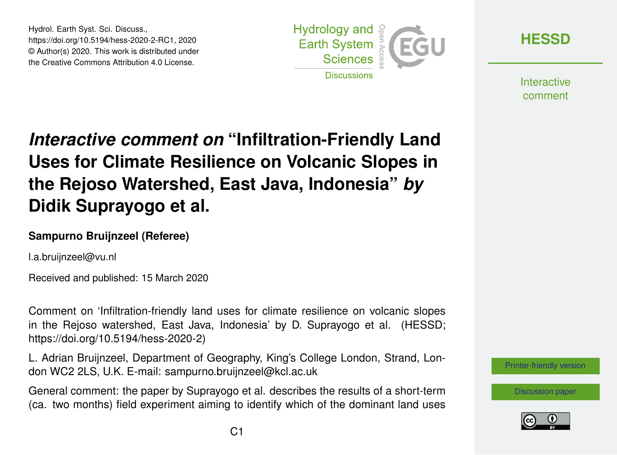Hydrol. Earth Syst. Sci. Discuss., https://doi.org/10.5194/hess-2020-2-RC1, 2020 © Author(s) 2020. This work is distributed under the Creative Commons Attribution 4.0 License.



**[HESSD](https://www.hydrol-earth-syst-sci-discuss.net/)**

**Interactive** comment

# *Interactive comment on* **"Infiltration-Friendly Land Uses for Climate Resilience on Volcanic Slopes in the Rejoso Watershed, East Java, Indonesia"** *by* **Didik Suprayogo et al.**

#### **Sampurno Bruijnzeel (Referee)**

l.a.bruijnzeel@vu.nl

Received and published: 15 March 2020

Comment on 'Infiltration-friendly land uses for climate resilience on volcanic slopes in the Rejoso watershed, East Java, Indonesia' by D. Suprayogo et al. (HESSD; https://doi.org/10.5194/hess-2020-2)

L. Adrian Bruijnzeel, Department of Geography, King's College London, Strand, London WC2 2LS, U.K. E-mail: sampurno.bruijnzeel@kcl.ac.uk

General comment: the paper by Suprayogo et al. describes the results of a short-term (ca. two months) field experiment aiming to identify which of the dominant land uses



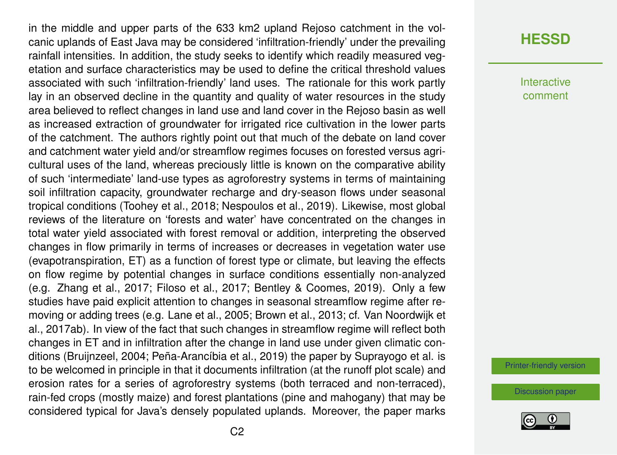in the middle and upper parts of the 633 km2 upland Rejoso catchment in the volcanic uplands of East Java may be considered 'infiltration-friendly' under the prevailing rainfall intensities. In addition, the study seeks to identify which readily measured vegetation and surface characteristics may be used to define the critical threshold values associated with such 'infiltration-friendly' land uses. The rationale for this work partly lay in an observed decline in the quantity and quality of water resources in the study area believed to reflect changes in land use and land cover in the Rejoso basin as well as increased extraction of groundwater for irrigated rice cultivation in the lower parts of the catchment. The authors rightly point out that much of the debate on land cover and catchment water yield and/or streamflow regimes focuses on forested versus agricultural uses of the land, whereas preciously little is known on the comparative ability of such 'intermediate' land-use types as agroforestry systems in terms of maintaining soil infiltration capacity, groundwater recharge and dry-season flows under seasonal tropical conditions (Toohey et al., 2018; Nespoulos et al., 2019). Likewise, most global reviews of the literature on 'forests and water' have concentrated on the changes in total water yield associated with forest removal or addition, interpreting the observed changes in flow primarily in terms of increases or decreases in vegetation water use (evapotranspiration, ET) as a function of forest type or climate, but leaving the effects on flow regime by potential changes in surface conditions essentially non-analyzed (e.g. Zhang et al., 2017; Filoso et al., 2017; Bentley & Coomes, 2019). Only a few studies have paid explicit attention to changes in seasonal streamflow regime after removing or adding trees (e.g. Lane et al., 2005; Brown et al., 2013; cf. Van Noordwijk et al., 2017ab). In view of the fact that such changes in streamflow regime will reflect both changes in ET and in infiltration after the change in land use under given climatic conditions (Bruijnzeel, 2004; Peña-Arancíbia et al., 2019) the paper by Suprayogo et al. is to be welcomed in principle in that it documents infiltration (at the runoff plot scale) and erosion rates for a series of agroforestry systems (both terraced and non-terraced), rain-fed crops (mostly maize) and forest plantations (pine and mahogany) that may be considered typical for Java's densely populated uplands. Moreover, the paper marks

#### **[HESSD](https://www.hydrol-earth-syst-sci-discuss.net/)**

**Interactive** comment

[Printer-friendly version](https://www.hydrol-earth-syst-sci-discuss.net/hess-2020-2/hess-2020-2-RC1-print.pdf)

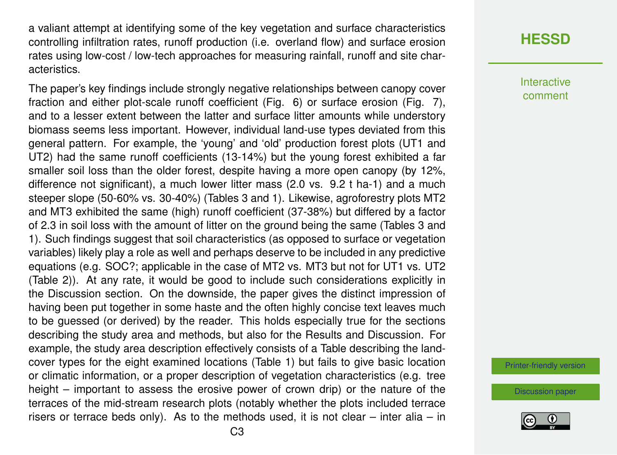a valiant attempt at identifying some of the key vegetation and surface characteristics controlling infiltration rates, runoff production (i.e. overland flow) and surface erosion rates using low-cost / low-tech approaches for measuring rainfall, runoff and site characteristics.

The paper's key findings include strongly negative relationships between canopy cover fraction and either plot-scale runoff coefficient (Fig. 6) or surface erosion (Fig. 7), and to a lesser extent between the latter and surface litter amounts while understory biomass seems less important. However, individual land-use types deviated from this general pattern. For example, the 'young' and 'old' production forest plots (UT1 and UT2) had the same runoff coefficients (13-14%) but the young forest exhibited a far smaller soil loss than the older forest, despite having a more open canopy (by 12%, difference not significant), a much lower litter mass (2.0 vs. 9.2 t ha-1) and a much steeper slope (50-60% vs. 30-40%) (Tables 3 and 1). Likewise, agroforestry plots MT2 and MT3 exhibited the same (high) runoff coefficient (37-38%) but differed by a factor of 2.3 in soil loss with the amount of litter on the ground being the same (Tables 3 and 1). Such findings suggest that soil characteristics (as opposed to surface or vegetation variables) likely play a role as well and perhaps deserve to be included in any predictive equations (e.g. SOC?; applicable in the case of MT2 vs. MT3 but not for UT1 vs. UT2 (Table 2)). At any rate, it would be good to include such considerations explicitly in the Discussion section. On the downside, the paper gives the distinct impression of having been put together in some haste and the often highly concise text leaves much to be guessed (or derived) by the reader. This holds especially true for the sections describing the study area and methods, but also for the Results and Discussion. For example, the study area description effectively consists of a Table describing the landcover types for the eight examined locations (Table 1) but fails to give basic location or climatic information, or a proper description of vegetation characteristics (e.g. tree height – important to assess the erosive power of crown drip) or the nature of the terraces of the mid-stream research plots (notably whether the plots included terrace risers or terrace beds only). As to the methods used, it is not clear – inter alia – in

### **[HESSD](https://www.hydrol-earth-syst-sci-discuss.net/)**

**Interactive** comment

[Printer-friendly version](https://www.hydrol-earth-syst-sci-discuss.net/hess-2020-2/hess-2020-2-RC1-print.pdf)

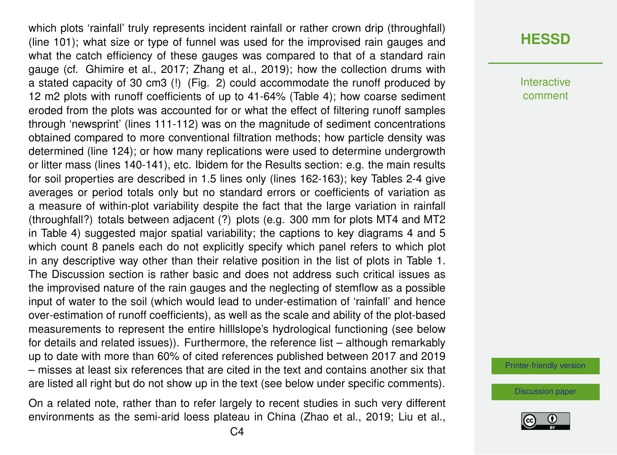which plots 'rainfall' truly represents incident rainfall or rather crown drip (throughfall) (line 101); what size or type of funnel was used for the improvised rain gauges and what the catch efficiency of these gauges was compared to that of a standard rain gauge (cf. Ghimire et al., 2017; Zhang et al., 2019); how the collection drums with a stated capacity of 30 cm3 (!) (Fig. 2) could accommodate the runoff produced by 12 m2 plots with runoff coefficients of up to 41-64% (Table 4); how coarse sediment eroded from the plots was accounted for or what the effect of filtering runoff samples through 'newsprint' (lines 111-112) was on the magnitude of sediment concentrations obtained compared to more conventional filtration methods; how particle density was determined (line 124); or how many replications were used to determine undergrowth or litter mass (lines 140-141), etc. Ibidem for the Results section: e.g. the main results for soil properties are described in 1.5 lines only (lines 162-163); key Tables 2-4 give averages or period totals only but no standard errors or coefficients of variation as a measure of within-plot variability despite the fact that the large variation in rainfall (throughfall?) totals between adjacent (?) plots (e.g. 300 mm for plots MT4 and MT2 in Table 4) suggested major spatial variability; the captions to key diagrams 4 and 5 which count 8 panels each do not explicitly specify which panel refers to which plot in any descriptive way other than their relative position in the list of plots in Table 1. The Discussion section is rather basic and does not address such critical issues as the improvised nature of the rain gauges and the neglecting of stemflow as a possible input of water to the soil (which would lead to under-estimation of 'rainfall' and hence over-estimation of runoff coefficients), as well as the scale and ability of the plot-based measurements to represent the entire hilllslope's hydrological functioning (see below for details and related issues)). Furthermore, the reference list – although remarkably up to date with more than 60% of cited references published between 2017 and 2019 – misses at least six references that are cited in the text and contains another six that are listed all right but do not show up in the text (see below under specific comments).

On a related note, rather than to refer largely to recent studies in such very different environments as the semi-arid loess plateau in China (Zhao et al., 2019; Liu et al.,

## **[HESSD](https://www.hydrol-earth-syst-sci-discuss.net/)**

Interactive comment

[Printer-friendly version](https://www.hydrol-earth-syst-sci-discuss.net/hess-2020-2/hess-2020-2-RC1-print.pdf)

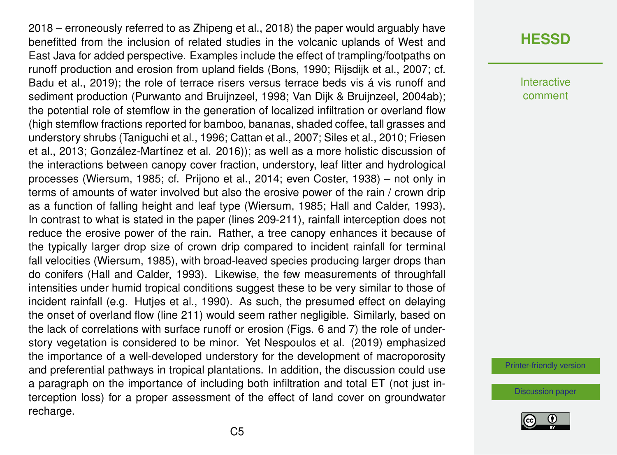2018 – erroneously referred to as Zhipeng et al., 2018) the paper would arguably have benefitted from the inclusion of related studies in the volcanic uplands of West and East Java for added perspective. Examples include the effect of trampling/footpaths on runoff production and erosion from upland fields (Bons, 1990; Rijsdijk et al., 2007; cf. Badu et al., 2019); the role of terrace risers versus terrace beds vis á vis runoff and sediment production (Purwanto and Bruijnzeel, 1998; Van Dijk & Bruijnzeel, 2004ab); the potential role of stemflow in the generation of localized infiltration or overland flow (high stemflow fractions reported for bamboo, bananas, shaded coffee, tall grasses and understory shrubs (Taniguchi et al., 1996; Cattan et al., 2007; Siles et al., 2010; Friesen et al., 2013; González-Martínez et al. 2016)); as well as a more holistic discussion of the interactions between canopy cover fraction, understory, leaf litter and hydrological processes (Wiersum, 1985; cf. Prijono et al., 2014; even Coster, 1938) – not only in terms of amounts of water involved but also the erosive power of the rain / crown drip as a function of falling height and leaf type (Wiersum, 1985; Hall and Calder, 1993). In contrast to what is stated in the paper (lines 209-211), rainfall interception does not reduce the erosive power of the rain. Rather, a tree canopy enhances it because of the typically larger drop size of crown drip compared to incident rainfall for terminal fall velocities (Wiersum, 1985), with broad-leaved species producing larger drops than do conifers (Hall and Calder, 1993). Likewise, the few measurements of throughfall intensities under humid tropical conditions suggest these to be very similar to those of incident rainfall (e.g. Hutjes et al., 1990). As such, the presumed effect on delaying the onset of overland flow (line 211) would seem rather negligible. Similarly, based on the lack of correlations with surface runoff or erosion (Figs. 6 and 7) the role of understory vegetation is considered to be minor. Yet Nespoulos et al. (2019) emphasized the importance of a well-developed understory for the development of macroporosity and preferential pathways in tropical plantations. In addition, the discussion could use a paragraph on the importance of including both infiltration and total ET (not just interception loss) for a proper assessment of the effect of land cover on groundwater recharge.

#### **[HESSD](https://www.hydrol-earth-syst-sci-discuss.net/)**

Interactive comment

[Printer-friendly version](https://www.hydrol-earth-syst-sci-discuss.net/hess-2020-2/hess-2020-2-RC1-print.pdf)

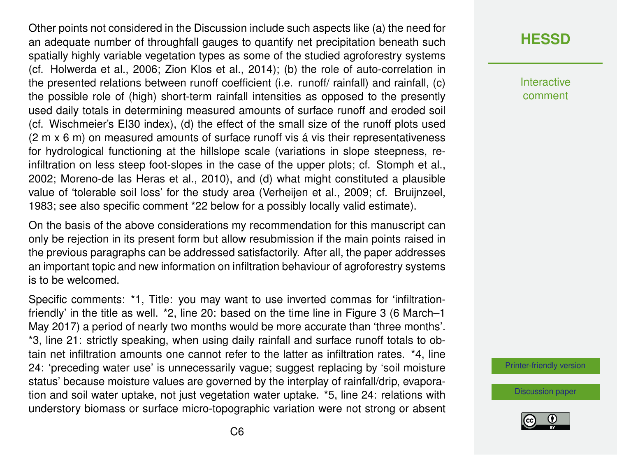Other points not considered in the Discussion include such aspects like (a) the need for an adequate number of throughfall gauges to quantify net precipitation beneath such spatially highly variable vegetation types as some of the studied agroforestry systems (cf. Holwerda et al., 2006; Zion Klos et al., 2014); (b) the role of auto-correlation in the presented relations between runoff coefficient (i.e. runoff/ rainfall) and rainfall, (c) the possible role of (high) short-term rainfall intensities as opposed to the presently used daily totals in determining measured amounts of surface runoff and eroded soil (cf. Wischmeier's EI30 index), (d) the effect of the small size of the runoff plots used (2 m x 6 m) on measured amounts of surface runoff vis á vis their representativeness for hydrological functioning at the hillslope scale (variations in slope steepness, reinfiltration on less steep foot-slopes in the case of the upper plots; cf. Stomph et al., 2002; Moreno-de las Heras et al., 2010), and (d) what might constituted a plausible value of 'tolerable soil loss' for the study area (Verheijen et al., 2009; cf. Bruijnzeel, 1983; see also specific comment \*22 below for a possibly locally valid estimate).

On the basis of the above considerations my recommendation for this manuscript can only be rejection in its present form but allow resubmission if the main points raised in the previous paragraphs can be addressed satisfactorily. After all, the paper addresses an important topic and new information on infiltration behaviour of agroforestry systems is to be welcomed.

Specific comments: \*1, Title: you may want to use inverted commas for 'infiltrationfriendly' in the title as well. \*2, line 20: based on the time line in Figure 3 (6 March–1 May 2017) a period of nearly two months would be more accurate than 'three months'. \*3, line 21: strictly speaking, when using daily rainfall and surface runoff totals to obtain net infiltration amounts one cannot refer to the latter as infiltration rates. \*4, line 24: 'preceding water use' is unnecessarily vague; suggest replacing by 'soil moisture status' because moisture values are governed by the interplay of rainfall/drip, evaporation and soil water uptake, not just vegetation water uptake. \*5, line 24: relations with understory biomass or surface micro-topographic variation were not strong or absent

## **[HESSD](https://www.hydrol-earth-syst-sci-discuss.net/)**

Interactive comment

[Printer-friendly version](https://www.hydrol-earth-syst-sci-discuss.net/hess-2020-2/hess-2020-2-RC1-print.pdf)

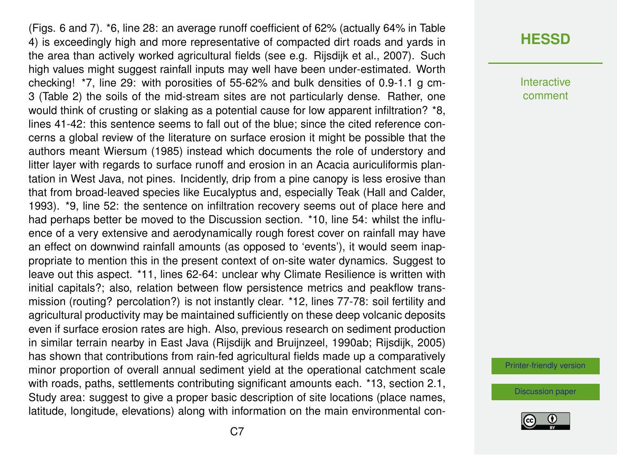(Figs. 6 and 7). \*6, line 28: an average runoff coefficient of 62% (actually 64% in Table 4) is exceedingly high and more representative of compacted dirt roads and yards in the area than actively worked agricultural fields (see e.g. Rijsdijk et al., 2007). Such high values might suggest rainfall inputs may well have been under-estimated. Worth checking! \*7, line 29: with porosities of 55-62% and bulk densities of 0.9-1.1 g cm-3 (Table 2) the soils of the mid-stream sites are not particularly dense. Rather, one would think of crusting or slaking as a potential cause for low apparent infiltration? \*8, lines 41-42: this sentence seems to fall out of the blue; since the cited reference concerns a global review of the literature on surface erosion it might be possible that the authors meant Wiersum (1985) instead which documents the role of understory and litter layer with regards to surface runoff and erosion in an Acacia auriculiformis plantation in West Java, not pines. Incidently, drip from a pine canopy is less erosive than that from broad-leaved species like Eucalyptus and, especially Teak (Hall and Calder, 1993). \*9, line 52: the sentence on infiltration recovery seems out of place here and had perhaps better be moved to the Discussion section. \*10, line 54: whilst the influence of a very extensive and aerodynamically rough forest cover on rainfall may have an effect on downwind rainfall amounts (as opposed to 'events'), it would seem inappropriate to mention this in the present context of on-site water dynamics. Suggest to leave out this aspect. \*11, lines 62-64: unclear why Climate Resilience is written with initial capitals?; also, relation between flow persistence metrics and peakflow transmission (routing? percolation?) is not instantly clear. \*12, lines 77-78: soil fertility and agricultural productivity may be maintained sufficiently on these deep volcanic deposits even if surface erosion rates are high. Also, previous research on sediment production in similar terrain nearby in East Java (Rijsdijk and Bruijnzeel, 1990ab; Rijsdijk, 2005) has shown that contributions from rain-fed agricultural fields made up a comparatively minor proportion of overall annual sediment yield at the operational catchment scale with roads, paths, settlements contributing significant amounts each. \*13, section 2.1, Study area: suggest to give a proper basic description of site locations (place names, latitude, longitude, elevations) along with information on the main environmental con-

#### **[HESSD](https://www.hydrol-earth-syst-sci-discuss.net/)**

**Interactive** comment

[Printer-friendly version](https://www.hydrol-earth-syst-sci-discuss.net/hess-2020-2/hess-2020-2-RC1-print.pdf)

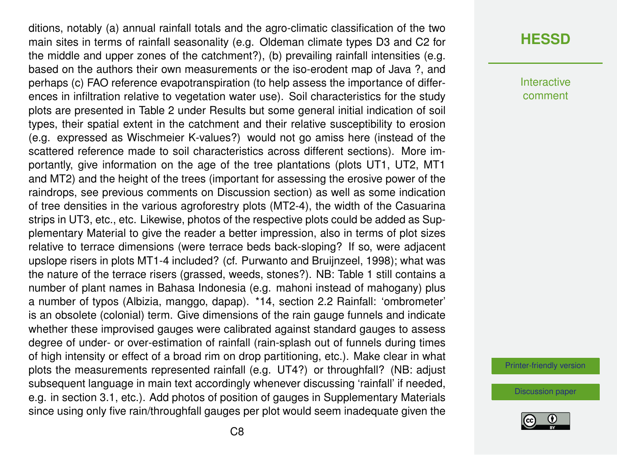ditions, notably (a) annual rainfall totals and the agro-climatic classification of the two main sites in terms of rainfall seasonality (e.g. Oldeman climate types D3 and C2 for the middle and upper zones of the catchment?), (b) prevailing rainfall intensities (e.g. based on the authors their own measurements or the iso-erodent map of Java ?, and perhaps (c) FAO reference evapotranspiration (to help assess the importance of differences in infiltration relative to vegetation water use). Soil characteristics for the study plots are presented in Table 2 under Results but some general initial indication of soil types, their spatial extent in the catchment and their relative susceptibility to erosion (e.g. expressed as Wischmeier K-values?) would not go amiss here (instead of the scattered reference made to soil characteristics across different sections). More importantly, give information on the age of the tree plantations (plots UT1, UT2, MT1 and MT2) and the height of the trees (important for assessing the erosive power of the raindrops, see previous comments on Discussion section) as well as some indication of tree densities in the various agroforestry plots (MT2-4), the width of the Casuarina strips in UT3, etc., etc. Likewise, photos of the respective plots could be added as Supplementary Material to give the reader a better impression, also in terms of plot sizes relative to terrace dimensions (were terrace beds back-sloping? If so, were adjacent upslope risers in plots MT1-4 included? (cf. Purwanto and Bruijnzeel, 1998); what was the nature of the terrace risers (grassed, weeds, stones?). NB: Table 1 still contains a number of plant names in Bahasa Indonesia (e.g. mahoni instead of mahogany) plus a number of typos (Albizia, manggo, dapap). \*14, section 2.2 Rainfall: 'ombrometer' is an obsolete (colonial) term. Give dimensions of the rain gauge funnels and indicate whether these improvised gauges were calibrated against standard gauges to assess degree of under- or over-estimation of rainfall (rain-splash out of funnels during times of high intensity or effect of a broad rim on drop partitioning, etc.). Make clear in what plots the measurements represented rainfall (e.g. UT4?) or throughfall? (NB: adjust subsequent language in main text accordingly whenever discussing 'rainfall' if needed, e.g. in section 3.1, etc.). Add photos of position of gauges in Supplementary Materials since using only five rain/throughfall gauges per plot would seem inadequate given the

#### **[HESSD](https://www.hydrol-earth-syst-sci-discuss.net/)**

Interactive comment

[Printer-friendly version](https://www.hydrol-earth-syst-sci-discuss.net/hess-2020-2/hess-2020-2-RC1-print.pdf)

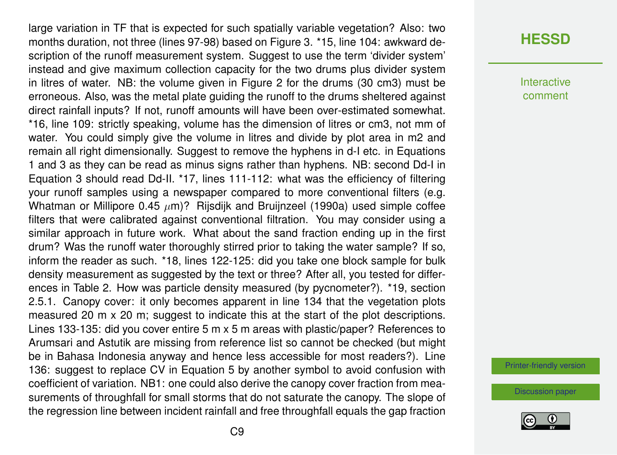large variation in TF that is expected for such spatially variable vegetation? Also: two months duration, not three (lines 97-98) based on Figure 3. \*15, line 104: awkward description of the runoff measurement system. Suggest to use the term 'divider system' instead and give maximum collection capacity for the two drums plus divider system in litres of water. NB: the volume given in Figure 2 for the drums (30 cm3) must be erroneous. Also, was the metal plate guiding the runoff to the drums sheltered against direct rainfall inputs? If not, runoff amounts will have been over-estimated somewhat. \*16, line 109: strictly speaking, volume has the dimension of litres or cm3, not mm of water. You could simply give the volume in litres and divide by plot area in m2 and remain all right dimensionally. Suggest to remove the hyphens in d-I etc. in Equations 1 and 3 as they can be read as minus signs rather than hyphens. NB: second Dd-I in Equation 3 should read Dd-II. \*17, lines 111-112: what was the efficiency of filtering your runoff samples using a newspaper compared to more conventional filters (e.g. Whatman or Millipore 0.45  $\mu$ m)? Rijsdijk and Bruijnzeel (1990a) used simple coffee filters that were calibrated against conventional filtration. You may consider using a similar approach in future work. What about the sand fraction ending up in the first drum? Was the runoff water thoroughly stirred prior to taking the water sample? If so, inform the reader as such. \*18, lines 122-125: did you take one block sample for bulk density measurement as suggested by the text or three? After all, you tested for differences in Table 2. How was particle density measured (by pycnometer?). \*19, section 2.5.1. Canopy cover: it only becomes apparent in line 134 that the vegetation plots measured 20 m x 20 m; suggest to indicate this at the start of the plot descriptions. Lines 133-135: did you cover entire 5 m x 5 m areas with plastic/paper? References to Arumsari and Astutik are missing from reference list so cannot be checked (but might be in Bahasa Indonesia anyway and hence less accessible for most readers?). Line 136: suggest to replace CV in Equation 5 by another symbol to avoid confusion with coefficient of variation. NB1: one could also derive the canopy cover fraction from measurements of throughfall for small storms that do not saturate the canopy. The slope of the regression line between incident rainfall and free throughfall equals the gap fraction

#### **[HESSD](https://www.hydrol-earth-syst-sci-discuss.net/)**

Interactive comment

[Printer-friendly version](https://www.hydrol-earth-syst-sci-discuss.net/hess-2020-2/hess-2020-2-RC1-print.pdf)

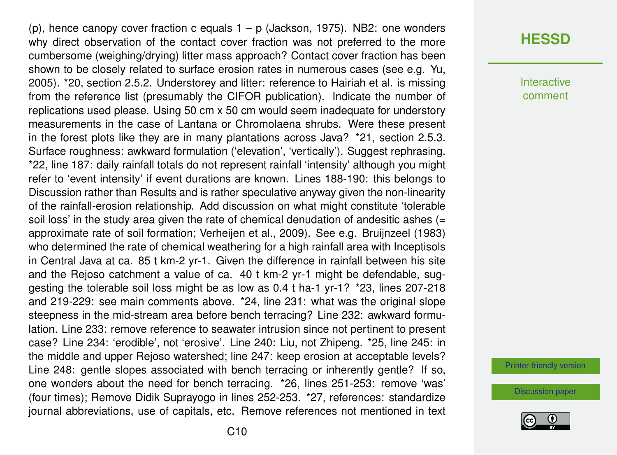(p), hence canopy cover fraction c equals  $1 - p$  (Jackson, 1975). NB2: one wonders why direct observation of the contact cover fraction was not preferred to the more cumbersome (weighing/drying) litter mass approach? Contact cover fraction has been shown to be closely related to surface erosion rates in numerous cases (see e.g. Yu, 2005). \*20, section 2.5.2. Understorey and litter: reference to Hairiah et al. is missing from the reference list (presumably the CIFOR publication). Indicate the number of replications used please. Using 50 cm x 50 cm would seem inadequate for understory measurements in the case of Lantana or Chromolaena shrubs. Were these present in the forest plots like they are in many plantations across Java? \*21, section 2.5.3. Surface roughness: awkward formulation ('elevation', 'vertically'). Suggest rephrasing. \*22, line 187: daily rainfall totals do not represent rainfall 'intensity' although you might refer to 'event intensity' if event durations are known. Lines 188-190: this belongs to Discussion rather than Results and is rather speculative anyway given the non-linearity of the rainfall-erosion relationship. Add discussion on what might constitute 'tolerable soil loss' in the study area given the rate of chemical denudation of andesitic ashes  $(=$ approximate rate of soil formation; Verheijen et al., 2009). See e.g. Bruijnzeel (1983) who determined the rate of chemical weathering for a high rainfall area with Inceptisols in Central Java at ca. 85 t km-2 yr-1. Given the difference in rainfall between his site and the Rejoso catchment a value of ca. 40 t km-2 yr-1 might be defendable, suggesting the tolerable soil loss might be as low as 0.4 t ha-1 yr-1? \*23, lines 207-218 and 219-229: see main comments above. \*24, line 231: what was the original slope steepness in the mid-stream area before bench terracing? Line 232: awkward formulation. Line 233: remove reference to seawater intrusion since not pertinent to present case? Line 234: 'erodible', not 'erosive'. Line 240: Liu, not Zhipeng. \*25, line 245: in the middle and upper Rejoso watershed; line 247: keep erosion at acceptable levels? Line 248: gentle slopes associated with bench terracing or inherently gentle? If so, one wonders about the need for bench terracing. \*26, lines 251-253: remove 'was' (four times); Remove Didik Suprayogo in lines 252-253. \*27, references: standardize journal abbreviations, use of capitals, etc. Remove references not mentioned in text

#### **[HESSD](https://www.hydrol-earth-syst-sci-discuss.net/)**

**Interactive** comment

[Printer-friendly version](https://www.hydrol-earth-syst-sci-discuss.net/hess-2020-2/hess-2020-2-RC1-print.pdf)

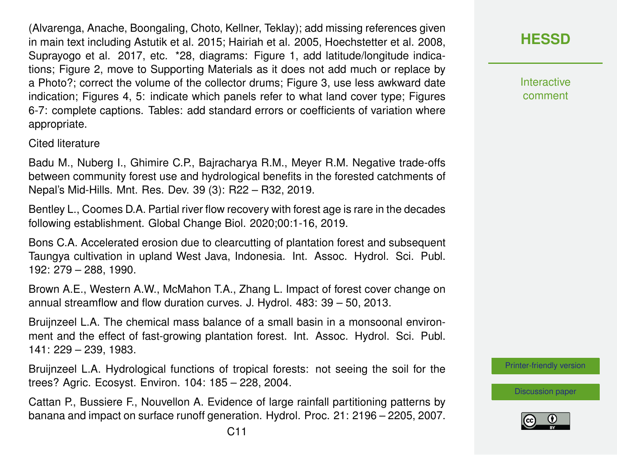(Alvarenga, Anache, Boongaling, Choto, Kellner, Teklay); add missing references given in main text including Astutik et al. 2015; Hairiah et al. 2005, Hoechstetter et al. 2008, Suprayogo et al. 2017, etc. \*28, diagrams: Figure 1, add latitude/longitude indications; Figure 2, move to Supporting Materials as it does not add much or replace by a Photo?; correct the volume of the collector drums; Figure 3, use less awkward date indication; Figures 4, 5: indicate which panels refer to what land cover type; Figures 6-7: complete captions. Tables: add standard errors or coefficients of variation where appropriate.

Cited literature

Badu M., Nuberg I., Ghimire C.P., Bajracharya R.M., Meyer R.M. Negative trade-offs between community forest use and hydrological benefits in the forested catchments of Nepal's Mid-Hills. Mnt. Res. Dev. 39 (3): R22 – R32, 2019.

Bentley L., Coomes D.A. Partial river flow recovery with forest age is rare in the decades following establishment. Global Change Biol. 2020;00:1-16, 2019.

Bons C.A. Accelerated erosion due to clearcutting of plantation forest and subsequent Taungya cultivation in upland West Java, Indonesia. Int. Assoc. Hydrol. Sci. Publ. 192: 279 – 288, 1990.

Brown A.E., Western A.W., McMahon T.A., Zhang L. Impact of forest cover change on annual streamflow and flow duration curves. J. Hydrol. 483: 39 – 50, 2013.

Bruijnzeel L.A. The chemical mass balance of a small basin in a monsoonal environment and the effect of fast-growing plantation forest. Int. Assoc. Hydrol. Sci. Publ. 141: 229 – 239, 1983.

Bruijnzeel L.A. Hydrological functions of tropical forests: not seeing the soil for the trees? Agric. Ecosyst. Environ. 104: 185 – 228, 2004.

Cattan P., Bussiere F., Nouvellon A. Evidence of large rainfall partitioning patterns by banana and impact on surface runoff generation. Hydrol. Proc. 21: 2196 – 2205, 2007.

**[HESSD](https://www.hydrol-earth-syst-sci-discuss.net/)**

**Interactive** comment

[Printer-friendly version](https://www.hydrol-earth-syst-sci-discuss.net/hess-2020-2/hess-2020-2-RC1-print.pdf)

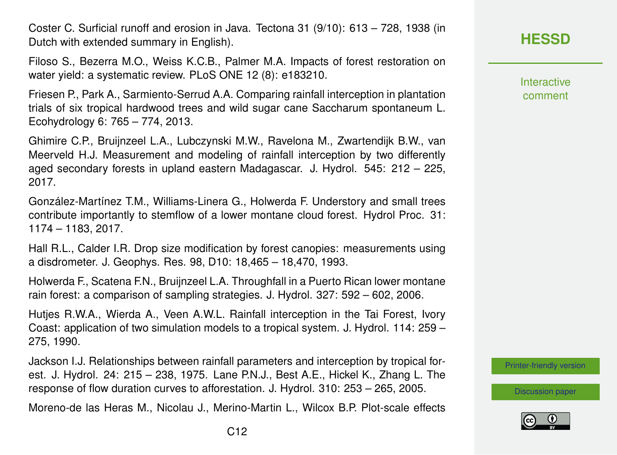Coster C. Surficial runoff and erosion in Java. Tectona 31 (9/10): 613 – 728, 1938 (in Dutch with extended summary in English).

Filoso S., Bezerra M.O., Weiss K.C.B., Palmer M.A. Impacts of forest restoration on water yield: a systematic review. PLoS ONE 12 (8): e183210.

Friesen P., Park A., Sarmiento-Serrud A.A. Comparing rainfall interception in plantation trials of six tropical hardwood trees and wild sugar cane Saccharum spontaneum L. Ecohydrology 6: 765 – 774, 2013.

Ghimire C.P., Bruijnzeel L.A., Lubczynski M.W., Ravelona M., Zwartendijk B.W., van Meerveld H.J. Measurement and modeling of rainfall interception by two differently aged secondary forests in upland eastern Madagascar. J. Hydrol. 545: 212 – 225, 2017.

González-Martínez T.M., Williams-Linera G., Holwerda F. Understory and small trees contribute importantly to stemflow of a lower montane cloud forest. Hydrol Proc. 31: 1174 – 1183, 2017.

Hall R.L., Calder I.R. Drop size modification by forest canopies: measurements using a disdrometer. J. Geophys. Res. 98, D10: 18,465 – 18,470, 1993.

Holwerda F., Scatena F.N., Bruijnzeel L.A. Throughfall in a Puerto Rican lower montane rain forest: a comparison of sampling strategies. J. Hydrol. 327: 592 – 602, 2006.

Hutjes R.W.A., Wierda A., Veen A.W.L. Rainfall interception in the Tai Forest, Ivory Coast: application of two simulation models to a tropical system. J. Hydrol. 114: 259 – 275, 1990.

Jackson I.J. Relationships between rainfall parameters and interception by tropical forest. J. Hydrol. 24: 215 – 238, 1975. Lane P.N.J., Best A.E., Hickel K., Zhang L. The response of flow duration curves to afforestation. J. Hydrol. 310: 253 – 265, 2005.

Moreno-de las Heras M., Nicolau J., Merino-Martin L., Wilcox B.P. Plot-scale effects

**Interactive** comment

[Printer-friendly version](https://www.hydrol-earth-syst-sci-discuss.net/hess-2020-2/hess-2020-2-RC1-print.pdf)

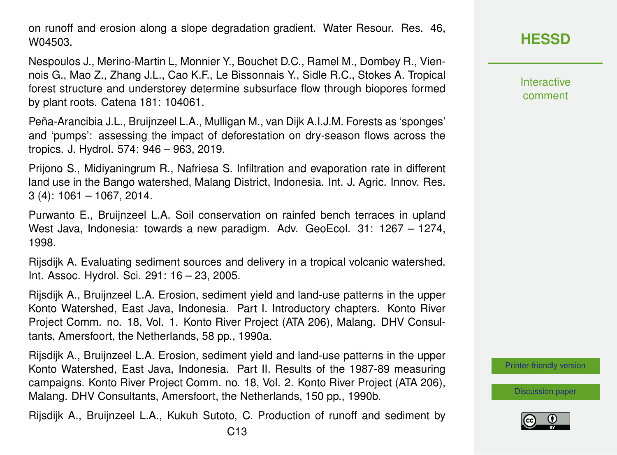on runoff and erosion along a slope degradation gradient. Water Resour. Res. 46, W04503.

Nespoulos J., Merino-Martin L, Monnier Y., Bouchet D.C., Ramel M., Dombey R., Viennois G., Mao Z., Zhang J.L., Cao K.F., Le Bissonnais Y., Sidle R.C., Stokes A. Tropical forest structure and understorey determine subsurface flow through biopores formed by plant roots. Catena 181: 104061.

Peña-Arancibia J.L., Bruijnzeel L.A., Mulligan M., van Dijk A.I.J.M. Forests as 'sponges' and 'pumps': assessing the impact of deforestation on dry-season flows across the tropics. J. Hydrol. 574: 946 – 963, 2019.

Prijono S., Midiyaningrum R., Nafriesa S. Infiltration and evaporation rate in different land use in the Bango watershed, Malang District, Indonesia. Int. J. Agric. Innov. Res. 3 (4): 1061 – 1067, 2014.

Purwanto E., Bruijnzeel L.A. Soil conservation on rainfed bench terraces in upland West Java, Indonesia: towards a new paradigm. Adv. GeoEcol. 31: 1267 – 1274, 1998.

Rijsdijk A. Evaluating sediment sources and delivery in a tropical volcanic watershed. Int. Assoc. Hydrol. Sci. 291: 16 – 23, 2005.

Rijsdijk A., Bruijnzeel L.A. Erosion, sediment yield and land-use patterns in the upper Konto Watershed, East Java, Indonesia. Part I. Introductory chapters. Konto River Project Comm. no. 18, Vol. 1. Konto River Project (ATA 206), Malang. DHV Consultants, Amersfoort, the Netherlands, 58 pp., 1990a.

Rijsdijk A., Bruijnzeel L.A. Erosion, sediment yield and land-use patterns in the upper Konto Watershed, East Java, Indonesia. Part II. Results of the 1987-89 measuring campaigns. Konto River Project Comm. no. 18, Vol. 2. Konto River Project (ATA 206), Malang. DHV Consultants, Amersfoort, the Netherlands, 150 pp., 1990b.

Rijsdijk A., Bruijnzeel L.A., Kukuh Sutoto, C. Production of runoff and sediment by

**Interactive** comment

[Printer-friendly version](https://www.hydrol-earth-syst-sci-discuss.net/hess-2020-2/hess-2020-2-RC1-print.pdf)

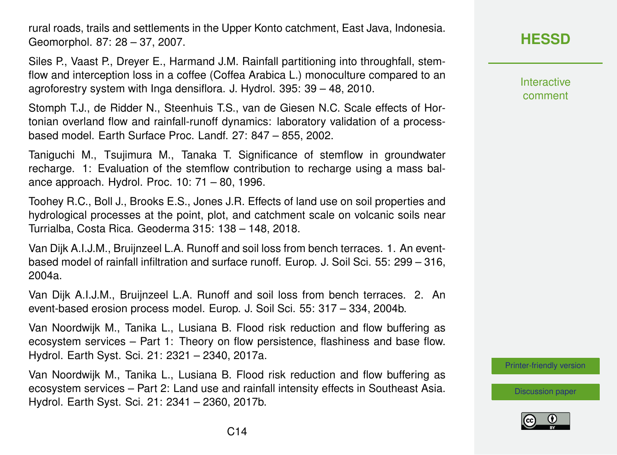rural roads, trails and settlements in the Upper Konto catchment, East Java, Indonesia. Geomorphol. 87: 28 – 37, 2007.

Siles P., Vaast P., Dreyer E., Harmand J.M. Rainfall partitioning into throughfall, stemflow and interception loss in a coffee (Coffea Arabica L.) monoculture compared to an agroforestry system with Inga densiflora. J. Hydrol. 395: 39 – 48, 2010.

Stomph T.J., de Ridder N., Steenhuis T.S., van de Giesen N.C. Scale effects of Hortonian overland flow and rainfall-runoff dynamics: laboratory validation of a processbased model. Earth Surface Proc. Landf. 27: 847 – 855, 2002.

Taniguchi M., Tsujimura M., Tanaka T. Significance of stemflow in groundwater recharge. 1: Evaluation of the stemflow contribution to recharge using a mass balance approach. Hydrol. Proc. 10: 71 – 80, 1996.

Toohey R.C., Boll J., Brooks E.S., Jones J.R. Effects of land use on soil properties and hydrological processes at the point, plot, and catchment scale on volcanic soils near Turrialba, Costa Rica. Geoderma 315: 138 – 148, 2018.

Van Dijk A.I.J.M., Bruijnzeel L.A. Runoff and soil loss from bench terraces. 1. An eventbased model of rainfall infiltration and surface runoff. Europ. J. Soil Sci. 55: 299 – 316, 2004a.

Van Dijk A.I.J.M., Bruijnzeel L.A. Runoff and soil loss from bench terraces. 2. An event-based erosion process model. Europ. J. Soil Sci. 55: 317 – 334, 2004b.

Van Noordwijk M., Tanika L., Lusiana B. Flood risk reduction and flow buffering as ecosystem services – Part 1: Theory on flow persistence, flashiness and base flow. Hydrol. Earth Syst. Sci. 21: 2321 – 2340, 2017a.

Van Noordwijk M., Tanika L., Lusiana B. Flood risk reduction and flow buffering as ecosystem services – Part 2: Land use and rainfall intensity effects in Southeast Asia. Hydrol. Earth Syst. Sci. 21: 2341 – 2360, 2017b.

# **[HESSD](https://www.hydrol-earth-syst-sci-discuss.net/)**

Interactive comment

[Printer-friendly version](https://www.hydrol-earth-syst-sci-discuss.net/hess-2020-2/hess-2020-2-RC1-print.pdf)